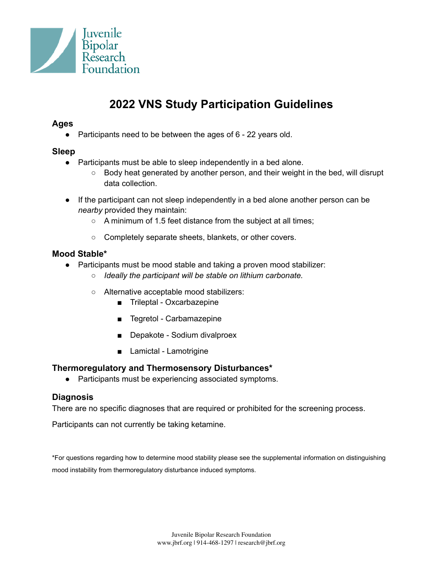

# **2022 VNS Study Participation Guidelines**

# **Ages**

● Participants need to be between the ages of 6 - 22 years old.

# **Sleep**

- Participants must be able to sleep independently in a bed alone.
	- $\circ$  Body heat generated by another person, and their weight in the bed, will disrupt data collection.
- If the participant can not sleep independently in a bed alone another person can be *nearby* provided they maintain:
	- A minimum of 1.5 feet distance from the subject at all times;
	- Completely separate sheets, blankets, or other covers.

# **Mood Stable\***

- Participants must be mood stable and taking a proven mood stabilizer:
	- *○ Ideally the participant will be stable on lithium carbonate.*
	- Alternative acceptable mood stabilizers:
		- Trileptal Oxcarbazepine
		- Tegretol Carbamazepine
		- Depakote Sodium divalproex
		- Lamictal Lamotrigine

# **Thermoregulatory and Thermosensory Disturbances\***

● Participants must be experiencing associated symptoms.

# **Diagnosis**

There are no specific diagnoses that are required or prohibited for the screening process.

Participants can not currently be taking ketamine.

\*For questions regarding how to determine mood stability please see the supplemental information on distinguishing mood instability from thermoregulatory disturbance induced symptoms.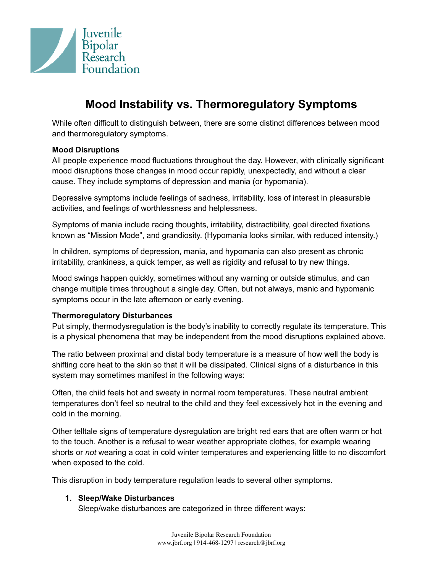

# **Mood Instability vs. Thermoregulatory Symptoms**

While often difficult to distinguish between, there are some distinct differences between mood and thermoregulatory symptoms.

## **Mood Disruptions**

All people experience mood fluctuations throughout the day. However, with clinically significant mood disruptions those changes in mood occur rapidly, unexpectedly, and without a clear cause. They include symptoms of depression and mania (or hypomania).

Depressive symptoms include feelings of sadness, irritability, loss of interest in pleasurable activities, and feelings of worthlessness and helplessness.

Symptoms of mania include racing thoughts, irritability, distractibility, goal directed fixations known as "Mission Mode", and grandiosity. (Hypomania looks similar, with reduced intensity.)

In children, symptoms of depression, mania, and hypomania can also present as chronic irritability, crankiness, a quick temper, as well as rigidity and refusal to try new things.

Mood swings happen quickly, sometimes without any warning or outside stimulus, and can change multiple times throughout a single day. Often, but not always, manic and hypomanic symptoms occur in the late afternoon or early evening.

## **Thermoregulatory Disturbances**

Put simply, thermodysregulation is the body's inability to correctly regulate its temperature. This is a physical phenomena that may be independent from the mood disruptions explained above.

The ratio between proximal and distal body temperature is a measure of how well the body is shifting core heat to the skin so that it will be dissipated. Clinical signs of a disturbance in this system may sometimes manifest in the following ways:

Often, the child feels hot and sweaty in normal room temperatures. These neutral ambient temperatures don't feel so neutral to the child and they feel excessively hot in the evening and cold in the morning.

Other telltale signs of temperature dysregulation are bright red ears that are often warm or hot to the touch. Another is a refusal to wear weather appropriate clothes, for example wearing shorts or *not* wearing a coat in cold winter temperatures and experiencing little to no discomfort when exposed to the cold.

This disruption in body temperature regulation leads to several other symptoms.

## **1. Sleep/Wake Disturbances**

Sleep/wake disturbances are categorized in three different ways: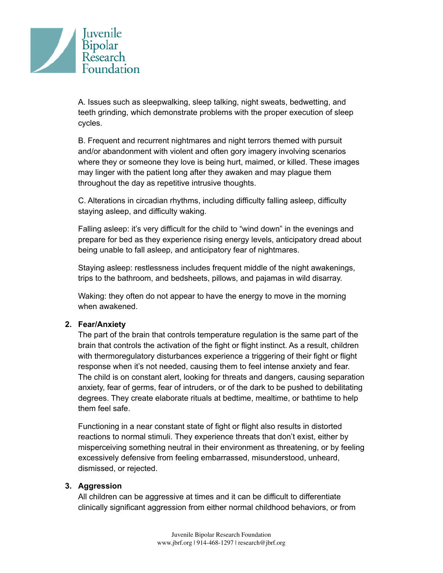

A. Issues such as sleepwalking, sleep talking, night sweats, bedwetting, and teeth grinding, which demonstrate problems with the proper execution of sleep cycles.

B. Frequent and recurrent nightmares and night terrors themed with pursuit and/or abandonment with violent and often gory imagery involving scenarios where they or someone they love is being hurt, maimed, or killed. These images may linger with the patient long after they awaken and may plague them throughout the day as repetitive intrusive thoughts.

C. Alterations in circadian rhythms, including difficulty falling asleep, difficulty staying asleep, and difficulty waking.

Falling asleep: it's very difficult for the child to "wind down" in the evenings and prepare for bed as they experience rising energy levels, anticipatory dread about being unable to fall asleep, and anticipatory fear of nightmares.

Staying asleep: restlessness includes frequent middle of the night awakenings, trips to the bathroom, and bedsheets, pillows, and pajamas in wild disarray.

Waking: they often do not appear to have the energy to move in the morning when awakened.

## **2. Fear/Anxiety**

The part of the brain that controls temperature regulation is the same part of the brain that controls the activation of the fight or flight instinct. As a result, children with thermoregulatory disturbances experience a triggering of their fight or flight response when it's not needed, causing them to feel intense anxiety and fear. The child is on constant alert, looking for threats and dangers, causing separation anxiety, fear of germs, fear of intruders, or of the dark to be pushed to debilitating degrees. They create elaborate rituals at bedtime, mealtime, or bathtime to help them feel safe.

Functioning in a near constant state of fight or flight also results in distorted reactions to normal stimuli. They experience threats that don't exist, either by misperceiving something neutral in their environment as threatening, or by feeling excessively defensive from feeling embarrassed, misunderstood, unheard, dismissed, or rejected.

## **3. Aggression**

All children can be aggressive at times and it can be difficult to differentiate clinically significant aggression from either normal childhood behaviors, or from